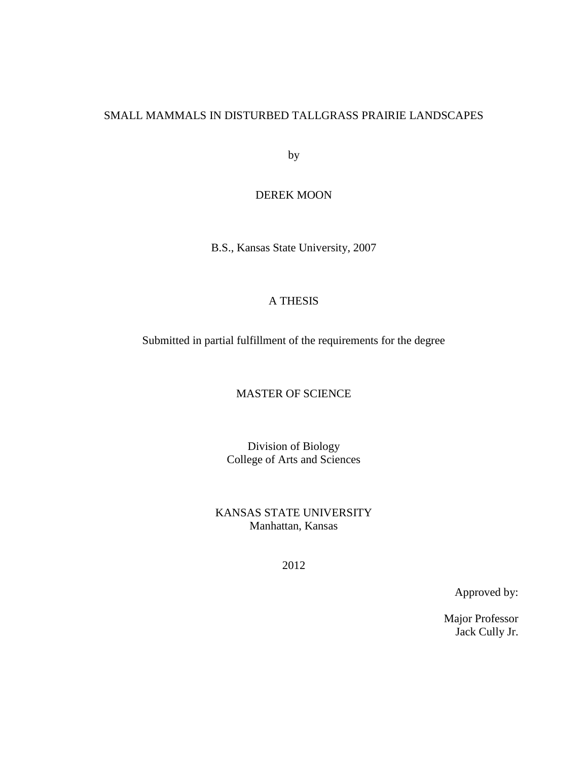## SMALL MAMMALS IN DISTURBED TALLGRASS PRAIRIE LANDSCAPES

by

## DEREK MOON

B.S., Kansas State University, 2007

## A THESIS

Submitted in partial fulfillment of the requirements for the degree

## MASTER OF SCIENCE

Division of Biology College of Arts and Sciences

KANSAS STATE UNIVERSITY Manhattan, Kansas

2012

Approved by:

Major Professor Jack Cully Jr.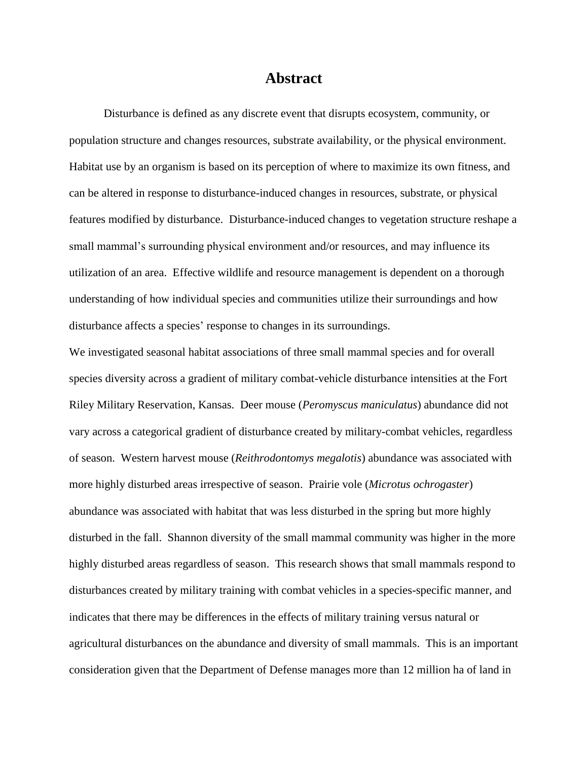## **Abstract**

Disturbance is defined as any discrete event that disrupts ecosystem, community, or population structure and changes resources, substrate availability, or the physical environment. Habitat use by an organism is based on its perception of where to maximize its own fitness, and can be altered in response to disturbance-induced changes in resources, substrate, or physical features modified by disturbance. Disturbance-induced changes to vegetation structure reshape a small mammal's surrounding physical environment and/or resources, and may influence its utilization of an area. Effective wildlife and resource management is dependent on a thorough understanding of how individual species and communities utilize their surroundings and how disturbance affects a species' response to changes in its surroundings.

We investigated seasonal habitat associations of three small mammal species and for overall species diversity across a gradient of military combat-vehicle disturbance intensities at the Fort Riley Military Reservation, Kansas. Deer mouse (*Peromyscus maniculatus*) abundance did not vary across a categorical gradient of disturbance created by military-combat vehicles, regardless of season. Western harvest mouse (*Reithrodontomys megalotis*) abundance was associated with more highly disturbed areas irrespective of season. Prairie vole (*Microtus ochrogaster*) abundance was associated with habitat that was less disturbed in the spring but more highly disturbed in the fall. Shannon diversity of the small mammal community was higher in the more highly disturbed areas regardless of season. This research shows that small mammals respond to disturbances created by military training with combat vehicles in a species-specific manner, and indicates that there may be differences in the effects of military training versus natural or agricultural disturbances on the abundance and diversity of small mammals. This is an important consideration given that the Department of Defense manages more than 12 million ha of land in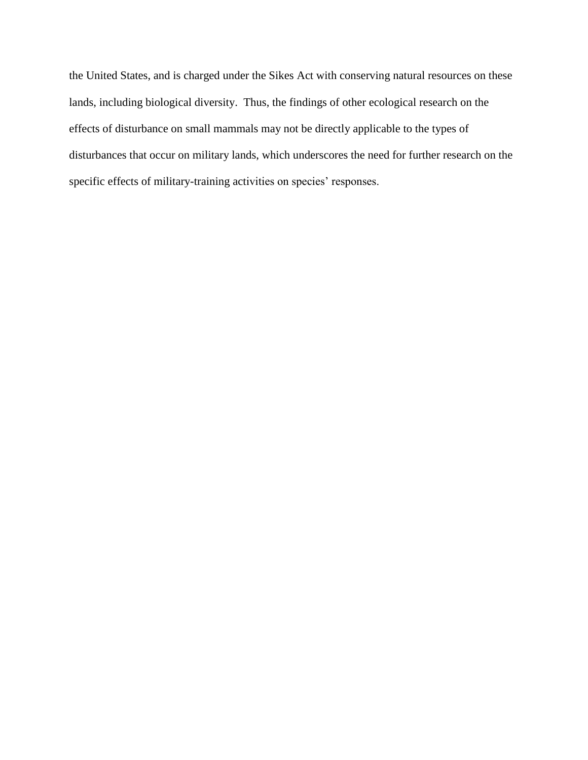the United States, and is charged under the Sikes Act with conserving natural resources on these lands, including biological diversity. Thus, the findings of other ecological research on the effects of disturbance on small mammals may not be directly applicable to the types of disturbances that occur on military lands, which underscores the need for further research on the specific effects of military-training activities on species' responses.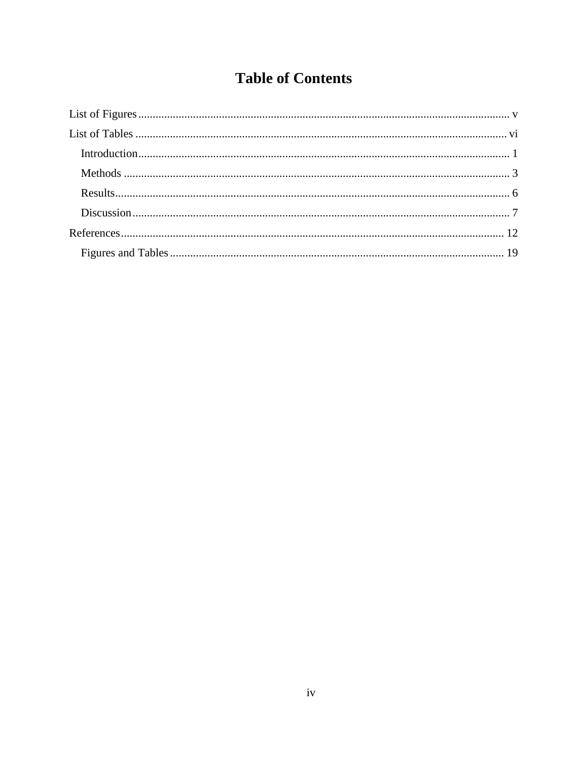## **Table of Contents**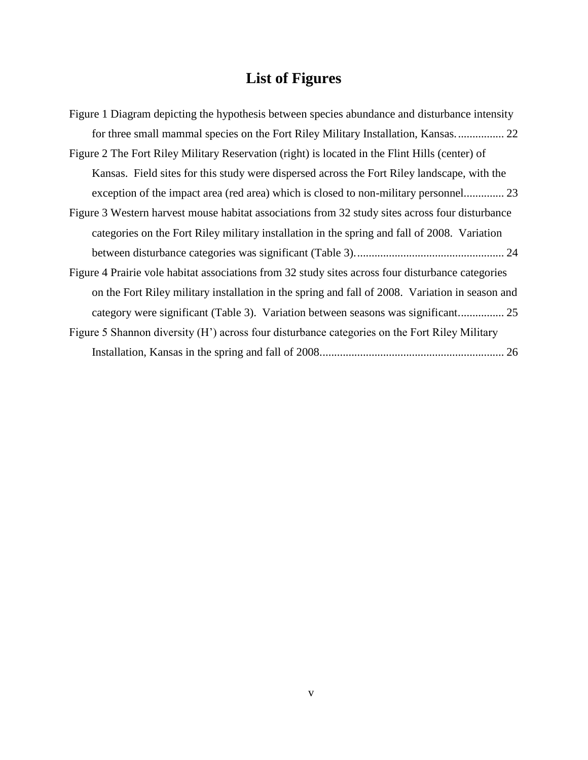# **List of Figures**

<span id="page-4-0"></span>

| Figure 1 Diagram depicting the hypothesis between species abundance and disturbance intensity              |
|------------------------------------------------------------------------------------------------------------|
|                                                                                                            |
| Figure 2 The Fort Riley Military Reservation (right) is located in the Flint Hills (center) of             |
| Kansas. Field sites for this study were dispersed across the Fort Riley landscape, with the                |
| exception of the impact area (red area) which is closed to non-military personnel 23                       |
| Figure 3 Western harvest mouse habitat associations from 32 study sites across four disturbance            |
| categories on the Fort Riley military installation in the spring and fall of 2008. Variation               |
|                                                                                                            |
| Figure 4 Prairie vole habitat associations from 32 study sites across four disturbance categories          |
| on the Fort Riley military installation in the spring and fall of 2008. Variation in season and            |
|                                                                                                            |
| Figure 5 Shannon diversity (H <sup>'</sup> ) across four disturbance categories on the Fort Riley Military |
|                                                                                                            |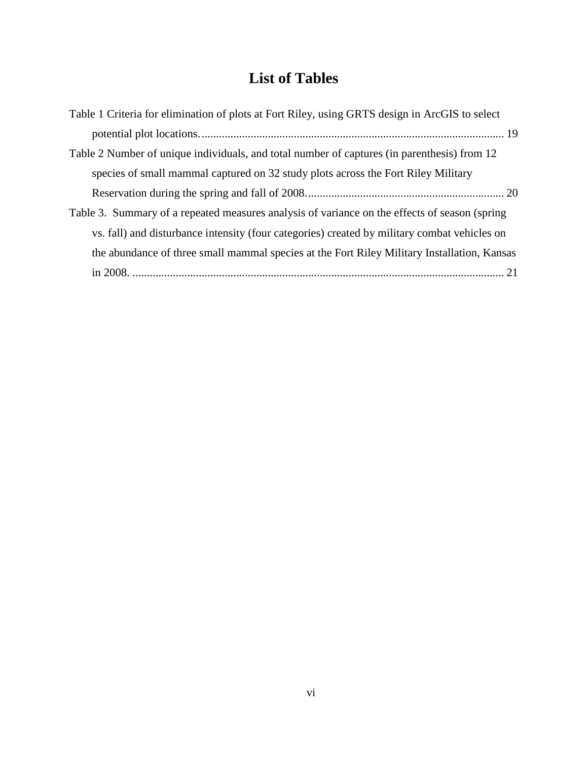## **List of Tables**

<span id="page-5-0"></span>

| Table 1 Criteria for elimination of plots at Fort Riley, using GRTS design in ArcGIS to select |
|------------------------------------------------------------------------------------------------|
|                                                                                                |
| Table 2 Number of unique individuals, and total number of captures (in parenthesis) from 12    |
| species of small mammal captured on 32 study plots across the Fort Riley Military              |
|                                                                                                |
| Table 3. Summary of a repeated measures analysis of variance on the effects of season (spring  |
| vs. fall) and disturbance intensity (four categories) created by military combat vehicles on   |
| the abundance of three small mammal species at the Fort Riley Military Installation, Kansas    |
|                                                                                                |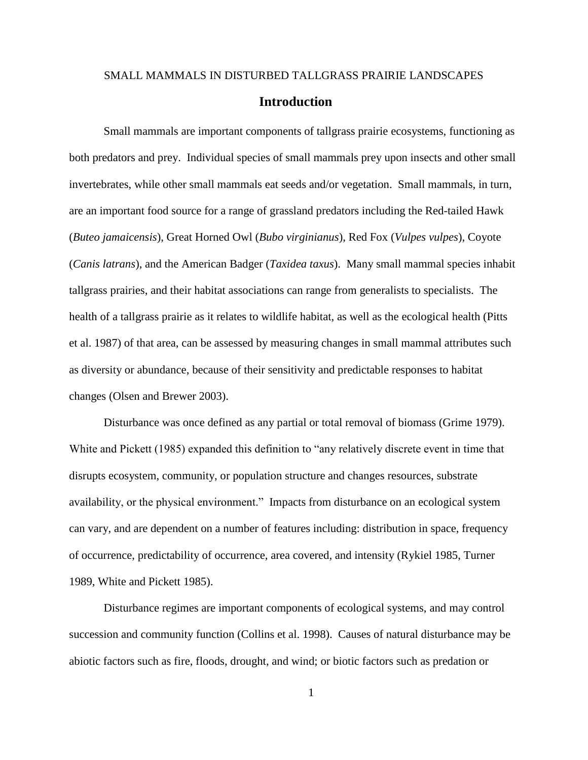## <span id="page-6-0"></span>SMALL MAMMALS IN DISTURBED TALLGRASS PRAIRIE LANDSCAPES **Introduction**

Small mammals are important components of tallgrass prairie ecosystems, functioning as both predators and prey. Individual species of small mammals prey upon insects and other small invertebrates, while other small mammals eat seeds and/or vegetation. Small mammals, in turn, are an important food source for a range of grassland predators including the Red-tailed Hawk (*Buteo jamaicensis*), Great Horned Owl (*Bubo virginianus*), Red Fox (*Vulpes vulpes*), Coyote (*Canis latrans*), and the American Badger (*Taxidea taxus*). Many small mammal species inhabit tallgrass prairies, and their habitat associations can range from generalists to specialists. The health of a tallgrass prairie as it relates to wildlife habitat, as well as the ecological health (Pitts et al. 1987) of that area, can be assessed by measuring changes in small mammal attributes such as diversity or abundance, because of their sensitivity and predictable responses to habitat changes (Olsen and Brewer 2003).

Disturbance was once defined as any partial or total removal of biomass (Grime 1979). White and Pickett (1985) expanded this definition to "any relatively discrete event in time that disrupts ecosystem, community, or population structure and changes resources, substrate availability, or the physical environment." Impacts from disturbance on an ecological system can vary, and are dependent on a number of features including: distribution in space, frequency of occurrence, predictability of occurrence, area covered, and intensity (Rykiel 1985, Turner 1989, White and Pickett 1985).

Disturbance regimes are important components of ecological systems, and may control succession and community function (Collins et al. 1998). Causes of natural disturbance may be abiotic factors such as fire, floods, drought, and wind; or biotic factors such as predation or

1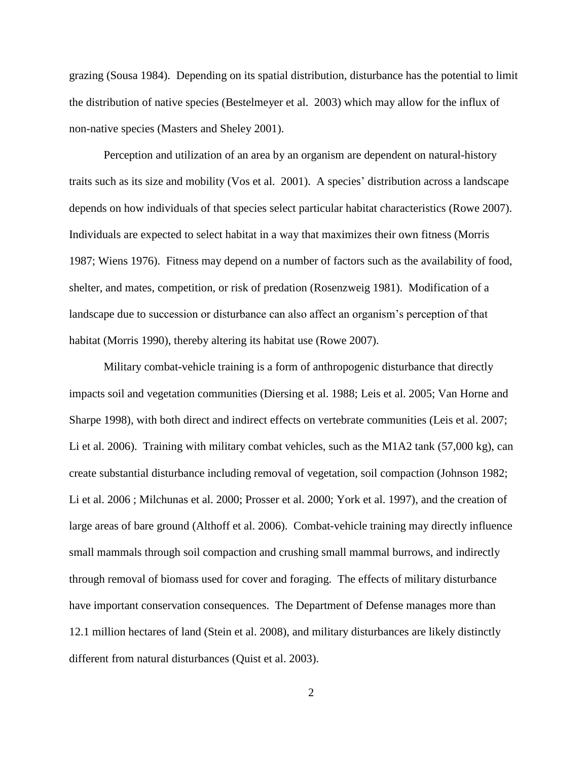grazing (Sousa 1984). Depending on its spatial distribution, disturbance has the potential to limit the distribution of native species (Bestelmeyer et al. 2003) which may allow for the influx of non-native species (Masters and Sheley 2001).

Perception and utilization of an area by an organism are dependent on natural-history traits such as its size and mobility (Vos et al. 2001). A species' distribution across a landscape depends on how individuals of that species select particular habitat characteristics (Rowe 2007). Individuals are expected to select habitat in a way that maximizes their own fitness (Morris 1987; Wiens 1976). Fitness may depend on a number of factors such as the availability of food, shelter, and mates, competition, or risk of predation (Rosenzweig 1981). Modification of a landscape due to succession or disturbance can also affect an organism's perception of that habitat (Morris 1990), thereby altering its habitat use (Rowe 2007).

Military combat-vehicle training is a form of anthropogenic disturbance that directly impacts soil and vegetation communities (Diersing et al. 1988; Leis et al. 2005; Van Horne and Sharpe 1998), with both direct and indirect effects on vertebrate communities (Leis et al. 2007; Li et al. 2006). Training with military combat vehicles, such as the M1A2 tank (57,000 kg), can create substantial disturbance including removal of vegetation, soil compaction (Johnson 1982; Li et al. 2006 ; Milchunas et al. 2000; Prosser et al. 2000; York et al. 1997), and the creation of large areas of bare ground (Althoff et al. 2006). Combat-vehicle training may directly influence small mammals through soil compaction and crushing small mammal burrows, and indirectly through removal of biomass used for cover and foraging. The effects of military disturbance have important conservation consequences. The Department of Defense manages more than 12.1 million hectares of land (Stein et al. 2008), and military disturbances are likely distinctly different from natural disturbances (Quist et al. 2003).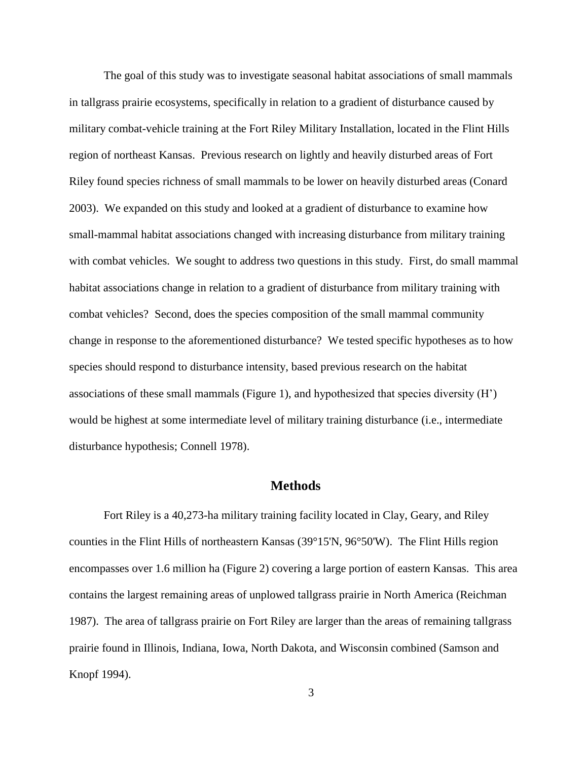The goal of this study was to investigate seasonal habitat associations of small mammals in tallgrass prairie ecosystems, specifically in relation to a gradient of disturbance caused by military combat-vehicle training at the Fort Riley Military Installation, located in the Flint Hills region of northeast Kansas. Previous research on lightly and heavily disturbed areas of Fort Riley found species richness of small mammals to be lower on heavily disturbed areas (Conard 2003). We expanded on this study and looked at a gradient of disturbance to examine how small-mammal habitat associations changed with increasing disturbance from military training with combat vehicles. We sought to address two questions in this study. First, do small mammal habitat associations change in relation to a gradient of disturbance from military training with combat vehicles? Second, does the species composition of the small mammal community change in response to the aforementioned disturbance? We tested specific hypotheses as to how species should respond to disturbance intensity, based previous research on the habitat associations of these small mammals (Figure 1), and hypothesized that species diversity (H') would be highest at some intermediate level of military training disturbance (i.e., intermediate disturbance hypothesis; Connell 1978).

## **Methods**

<span id="page-8-0"></span>Fort Riley is a 40,273-ha military training facility located in Clay, Geary, and Riley counties in the Flint Hills of northeastern Kansas (39°15'N, 96°50'W). The Flint Hills region encompasses over 1.6 million ha (Figure 2) covering a large portion of eastern Kansas. This area contains the largest remaining areas of unplowed tallgrass prairie in North America (Reichman 1987). The area of tallgrass prairie on Fort Riley are larger than the areas of remaining tallgrass prairie found in Illinois, Indiana, Iowa, North Dakota, and Wisconsin combined (Samson and Knopf 1994).

3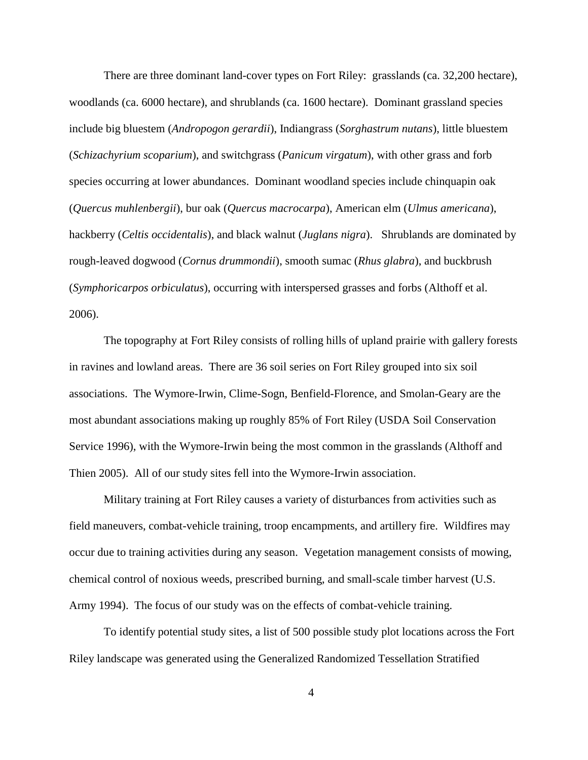There are three dominant land-cover types on Fort Riley: grasslands (ca. 32,200 hectare), woodlands (ca. 6000 hectare), and shrublands (ca. 1600 hectare). Dominant grassland species include big bluestem (*Andropogon gerardii*), Indiangrass (*Sorghastrum nutans*), little bluestem (*Schizachyrium scoparium*), and switchgrass (*Panicum virgatum*), with other grass and forb species occurring at lower abundances. Dominant woodland species include chinquapin oak (*Quercus muhlenbergii*), bur oak (*Quercus macrocarpa*), American elm (*Ulmus americana*), hackberry (*Celtis occidentalis*), and black walnut (*Juglans nigra*). Shrublands are dominated by rough-leaved dogwood (*Cornus drummondii*), smooth sumac (*Rhus glabra*), and buckbrush (*Symphoricarpos orbiculatus*), occurring with interspersed grasses and forbs (Althoff et al. 2006).

The topography at Fort Riley consists of rolling hills of upland prairie with gallery forests in ravines and lowland areas. There are 36 soil series on Fort Riley grouped into six soil associations. The Wymore-Irwin, Clime-Sogn, Benfield-Florence, and Smolan-Geary are the most abundant associations making up roughly 85% of Fort Riley (USDA Soil Conservation Service 1996), with the Wymore-Irwin being the most common in the grasslands (Althoff and Thien 2005). All of our study sites fell into the Wymore-Irwin association.

Military training at Fort Riley causes a variety of disturbances from activities such as field maneuvers, combat-vehicle training, troop encampments, and artillery fire. Wildfires may occur due to training activities during any season. Vegetation management consists of mowing, chemical control of noxious weeds, prescribed burning, and small-scale timber harvest (U.S. Army 1994). The focus of our study was on the effects of combat-vehicle training.

To identify potential study sites, a list of 500 possible study plot locations across the Fort Riley landscape was generated using the Generalized Randomized Tessellation Stratified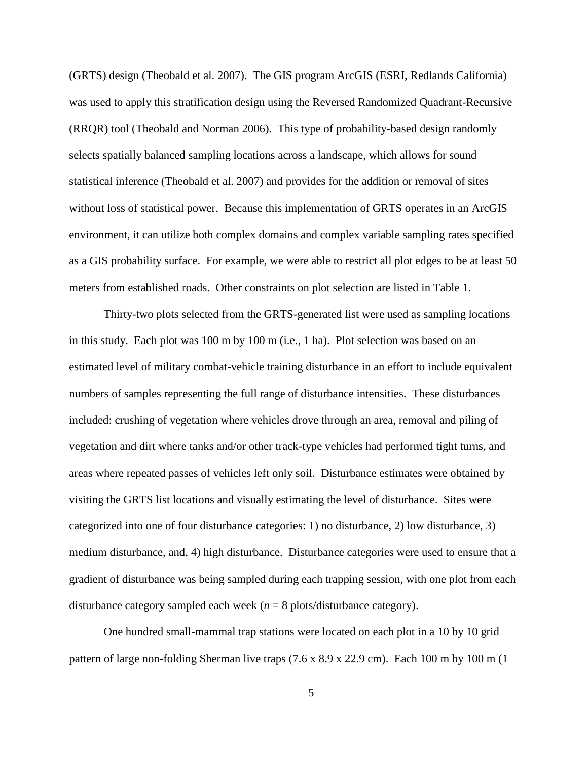(GRTS) design (Theobald et al. 2007). The GIS program ArcGIS (ESRI, Redlands California) was used to apply this stratification design using the Reversed Randomized Quadrant-Recursive (RRQR) tool (Theobald and Norman 2006). This type of probability-based design randomly selects spatially balanced sampling locations across a landscape, which allows for sound statistical inference (Theobald et al. 2007) and provides for the addition or removal of sites without loss of statistical power. Because this implementation of GRTS operates in an ArcGIS environment, it can utilize both complex domains and complex variable sampling rates specified as a GIS probability surface. For example, we were able to restrict all plot edges to be at least 50 meters from established roads. Other constraints on plot selection are listed in Table 1.

Thirty-two plots selected from the GRTS-generated list were used as sampling locations in this study. Each plot was 100 m by 100 m (i.e., 1 ha). Plot selection was based on an estimated level of military combat-vehicle training disturbance in an effort to include equivalent numbers of samples representing the full range of disturbance intensities. These disturbances included: crushing of vegetation where vehicles drove through an area, removal and piling of vegetation and dirt where tanks and/or other track-type vehicles had performed tight turns, and areas where repeated passes of vehicles left only soil. Disturbance estimates were obtained by visiting the GRTS list locations and visually estimating the level of disturbance. Sites were categorized into one of four disturbance categories: 1) no disturbance, 2) low disturbance, 3) medium disturbance, and, 4) high disturbance. Disturbance categories were used to ensure that a gradient of disturbance was being sampled during each trapping session, with one plot from each disturbance category sampled each week  $(n = 8 \text{ plots/disturbance category})$ .

One hundred small-mammal trap stations were located on each plot in a 10 by 10 grid pattern of large non-folding Sherman live traps (7.6 x 8.9 x 22.9 cm). Each 100 m by 100 m (1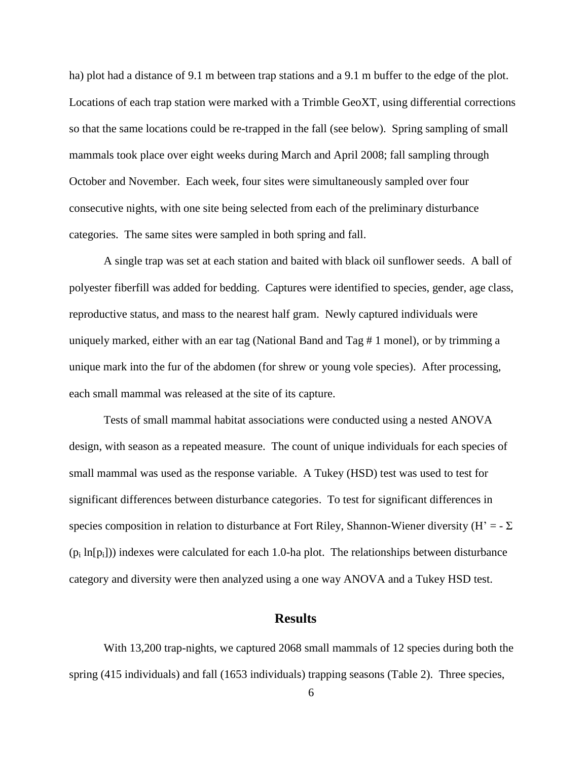ha) plot had a distance of 9.1 m between trap stations and a 9.1 m buffer to the edge of the plot. Locations of each trap station were marked with a Trimble GeoXT, using differential corrections so that the same locations could be re-trapped in the fall (see below). Spring sampling of small mammals took place over eight weeks during March and April 2008; fall sampling through October and November. Each week, four sites were simultaneously sampled over four consecutive nights, with one site being selected from each of the preliminary disturbance categories. The same sites were sampled in both spring and fall.

A single trap was set at each station and baited with black oil sunflower seeds. A ball of polyester fiberfill was added for bedding. Captures were identified to species, gender, age class, reproductive status, and mass to the nearest half gram. Newly captured individuals were uniquely marked, either with an ear tag (National Band and Tag # 1 monel), or by trimming a unique mark into the fur of the abdomen (for shrew or young vole species). After processing, each small mammal was released at the site of its capture.

Tests of small mammal habitat associations were conducted using a nested ANOVA design, with season as a repeated measure. The count of unique individuals for each species of small mammal was used as the response variable. A Tukey (HSD) test was used to test for significant differences between disturbance categories. To test for significant differences in species composition in relation to disturbance at Fort Riley, Shannon-Wiener diversity (H' =  $\Sigma$  $(p_i \ln[p_i])$ ) indexes were calculated for each 1.0-ha plot. The relationships between disturbance category and diversity were then analyzed using a one way ANOVA and a Tukey HSD test.

#### **Results**

<span id="page-11-0"></span>With 13,200 trap-nights, we captured 2068 small mammals of 12 species during both the spring (415 individuals) and fall (1653 individuals) trapping seasons (Table 2). Three species,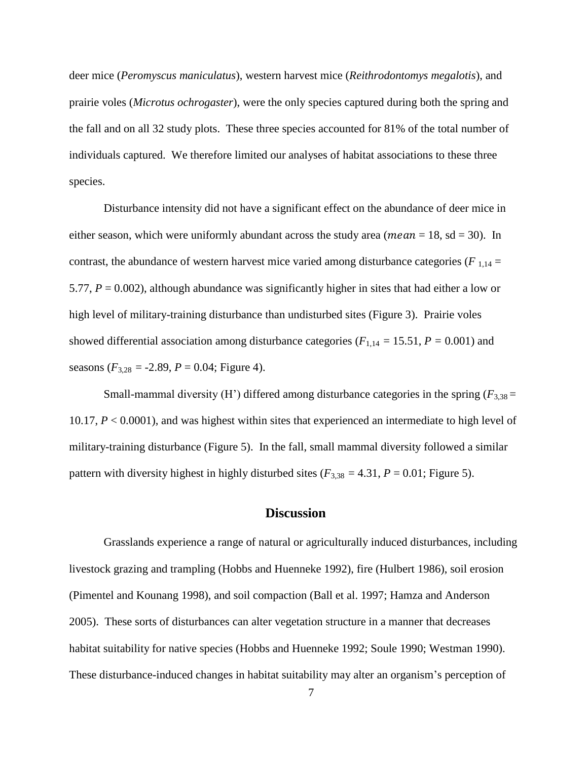deer mice (*Peromyscus maniculatus*), western harvest mice (*Reithrodontomys megalotis*), and prairie voles (*Microtus ochrogaster*), were the only species captured during both the spring and the fall and on all 32 study plots. These three species accounted for 81% of the total number of individuals captured. We therefore limited our analyses of habitat associations to these three species.

Disturbance intensity did not have a significant effect on the abundance of deer mice in either season, which were uniformly abundant across the study area (*mean* = 18, sd = 30). In contrast, the abundance of western harvest mice varied among disturbance categories ( $F_{1,14}$  = 5.77,  $P = 0.002$ ), although abundance was significantly higher in sites that had either a low or high level of military-training disturbance than undisturbed sites (Figure 3). Prairie voles showed differential association among disturbance categories ( $F_{1,14} = 15.51$ ,  $P = 0.001$ ) and seasons  $(F_{3,28} = -2.89, P = 0.04;$  Figure 4).

Small-mammal diversity (H<sup>'</sup>) differed among disturbance categories in the spring ( $F_{3,38}$  = 10.17, *P* < 0.0001), and was highest within sites that experienced an intermediate to high level of military-training disturbance (Figure 5). In the fall, small mammal diversity followed a similar pattern with diversity highest in highly disturbed sites ( $F_{3,38} = 4.31$ ,  $P = 0.01$ ; Figure 5).

## **Discussion**

<span id="page-12-0"></span>Grasslands experience a range of natural or agriculturally induced disturbances, including livestock grazing and trampling (Hobbs and Huenneke 1992), fire (Hulbert 1986), soil erosion (Pimentel and Kounang 1998), and soil compaction (Ball et al. 1997; Hamza and Anderson 2005). These sorts of disturbances can alter vegetation structure in a manner that decreases habitat suitability for native species (Hobbs and Huenneke 1992; Soule 1990; Westman 1990). These disturbance-induced changes in habitat suitability may alter an organism's perception of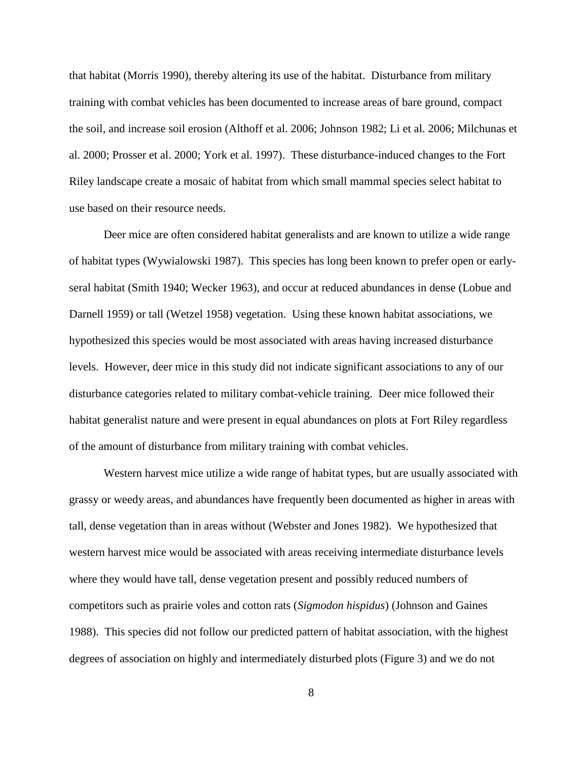that habitat (Morris 1990), thereby altering its use of the habitat. Disturbance from military training with combat vehicles has been documented to increase areas of bare ground, compact the soil, and increase soil erosion (Althoff et al. 2006; Johnson 1982; Li et al. 2006; Milchunas et al. 2000; Prosser et al. 2000; York et al. 1997). These disturbance-induced changes to the Fort Riley landscape create a mosaic of habitat from which small mammal species select habitat to use based on their resource needs.

Deer mice are often considered habitat generalists and are known to utilize a wide range of habitat types (Wywialowski 1987). This species has long been known to prefer open or earlyseral habitat (Smith 1940; Wecker 1963), and occur at reduced abundances in dense (Lobue and Darnell 1959) or tall (Wetzel 1958) vegetation. Using these known habitat associations, we hypothesized this species would be most associated with areas having increased disturbance levels. However, deer mice in this study did not indicate significant associations to any of our disturbance categories related to military combat-vehicle training. Deer mice followed their habitat generalist nature and were present in equal abundances on plots at Fort Riley regardless of the amount of disturbance from military training with combat vehicles.

Western harvest mice utilize a wide range of habitat types, but are usually associated with grassy or weedy areas, and abundances have frequently been documented as higher in areas with tall, dense vegetation than in areas without (Webster and Jones 1982). We hypothesized that western harvest mice would be associated with areas receiving intermediate disturbance levels where they would have tall, dense vegetation present and possibly reduced numbers of competitors such as prairie voles and cotton rats (*Sigmodon hispidus*) (Johnson and Gaines 1988). This species did not follow our predicted pattern of habitat association, with the highest degrees of association on highly and intermediately disturbed plots (Figure 3) and we do not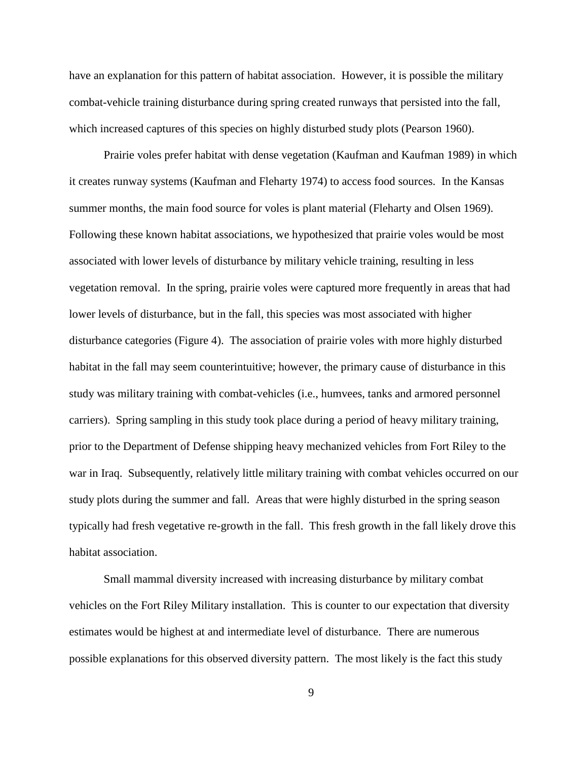have an explanation for this pattern of habitat association. However, it is possible the military combat-vehicle training disturbance during spring created runways that persisted into the fall, which increased captures of this species on highly disturbed study plots (Pearson 1960).

Prairie voles prefer habitat with dense vegetation (Kaufman and Kaufman 1989) in which it creates runway systems (Kaufman and Fleharty 1974) to access food sources. In the Kansas summer months, the main food source for voles is plant material (Fleharty and Olsen 1969). Following these known habitat associations, we hypothesized that prairie voles would be most associated with lower levels of disturbance by military vehicle training, resulting in less vegetation removal. In the spring, prairie voles were captured more frequently in areas that had lower levels of disturbance, but in the fall, this species was most associated with higher disturbance categories (Figure 4). The association of prairie voles with more highly disturbed habitat in the fall may seem counterintuitive; however, the primary cause of disturbance in this study was military training with combat-vehicles (i.e., humvees, tanks and armored personnel carriers). Spring sampling in this study took place during a period of heavy military training, prior to the Department of Defense shipping heavy mechanized vehicles from Fort Riley to the war in Iraq. Subsequently, relatively little military training with combat vehicles occurred on our study plots during the summer and fall. Areas that were highly disturbed in the spring season typically had fresh vegetative re-growth in the fall. This fresh growth in the fall likely drove this habitat association.

Small mammal diversity increased with increasing disturbance by military combat vehicles on the Fort Riley Military installation. This is counter to our expectation that diversity estimates would be highest at and intermediate level of disturbance. There are numerous possible explanations for this observed diversity pattern. The most likely is the fact this study

9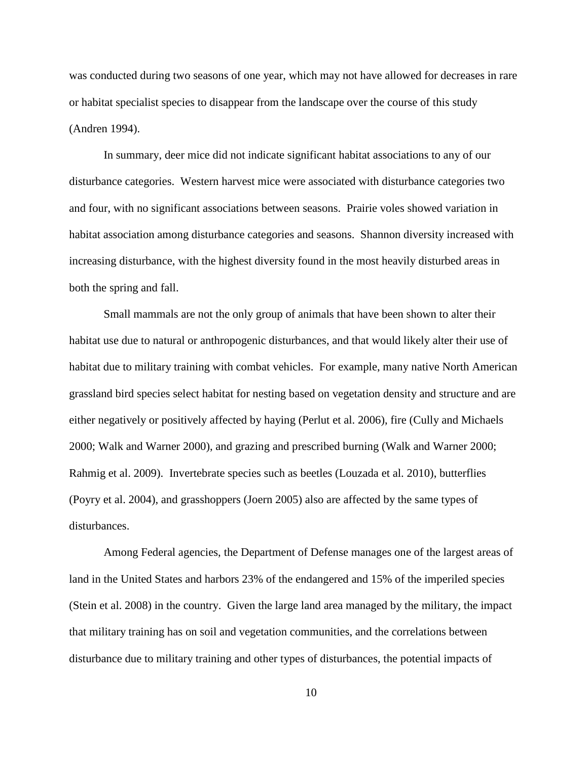was conducted during two seasons of one year, which may not have allowed for decreases in rare or habitat specialist species to disappear from the landscape over the course of this study (Andren 1994).

In summary, deer mice did not indicate significant habitat associations to any of our disturbance categories. Western harvest mice were associated with disturbance categories two and four, with no significant associations between seasons. Prairie voles showed variation in habitat association among disturbance categories and seasons. Shannon diversity increased with increasing disturbance, with the highest diversity found in the most heavily disturbed areas in both the spring and fall.

Small mammals are not the only group of animals that have been shown to alter their habitat use due to natural or anthropogenic disturbances, and that would likely alter their use of habitat due to military training with combat vehicles. For example, many native North American grassland bird species select habitat for nesting based on vegetation density and structure and are either negatively or positively affected by haying (Perlut et al. 2006), fire (Cully and Michaels 2000; Walk and Warner 2000), and grazing and prescribed burning (Walk and Warner 2000; Rahmig et al. 2009). Invertebrate species such as beetles (Louzada et al. 2010), butterflies (Poyry et al. 2004), and grasshoppers (Joern 2005) also are affected by the same types of disturbances.

Among Federal agencies, the Department of Defense manages one of the largest areas of land in the United States and harbors 23% of the endangered and 15% of the imperiled species (Stein et al. 2008) in the country. Given the large land area managed by the military, the impact that military training has on soil and vegetation communities, and the correlations between disturbance due to military training and other types of disturbances, the potential impacts of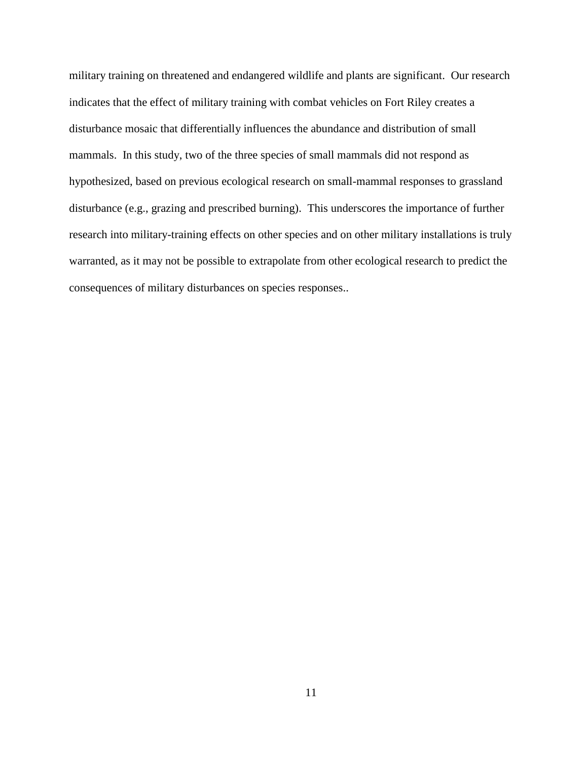military training on threatened and endangered wildlife and plants are significant. Our research indicates that the effect of military training with combat vehicles on Fort Riley creates a disturbance mosaic that differentially influences the abundance and distribution of small mammals. In this study, two of the three species of small mammals did not respond as hypothesized, based on previous ecological research on small-mammal responses to grassland disturbance (e.g., grazing and prescribed burning). This underscores the importance of further research into military-training effects on other species and on other military installations is truly warranted, as it may not be possible to extrapolate from other ecological research to predict the consequences of military disturbances on species responses..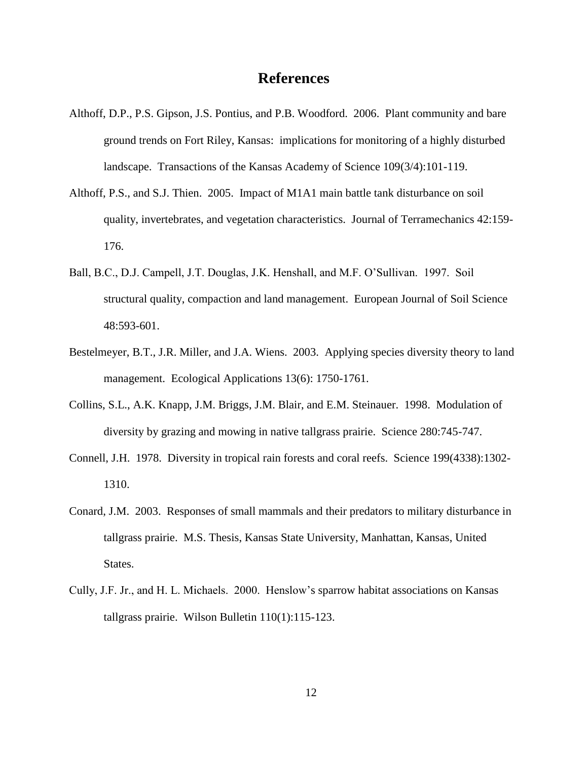## **References**

- <span id="page-17-0"></span>Althoff, D.P., P.S. Gipson, J.S. Pontius, and P.B. Woodford. 2006. Plant community and bare ground trends on Fort Riley, Kansas: implications for monitoring of a highly disturbed landscape. Transactions of the Kansas Academy of Science 109(3/4):101-119.
- Althoff, P.S., and S.J. Thien. 2005. Impact of M1A1 main battle tank disturbance on soil quality, invertebrates, and vegetation characteristics. Journal of Terramechanics 42:159- 176.
- Ball, B.C., D.J. Campell, J.T. Douglas, J.K. Henshall, and M.F. O'Sullivan. 1997. Soil structural quality, compaction and land management. European Journal of Soil Science 48:593-601.
- Bestelmeyer, B.T., J.R. Miller, and J.A. Wiens. 2003. Applying species diversity theory to land management. Ecological Applications 13(6): 1750-1761.
- Collins, S.L., A.K. Knapp, J.M. Briggs, J.M. Blair, and E.M. Steinauer. 1998. Modulation of diversity by grazing and mowing in native tallgrass prairie. Science 280:745-747.
- Connell, J.H. 1978. Diversity in tropical rain forests and coral reefs. Science 199(4338):1302- 1310.
- Conard, J.M. 2003. Responses of small mammals and their predators to military disturbance in tallgrass prairie. M.S. Thesis, Kansas State University, Manhattan, Kansas, United States.
- Cully, J.F. Jr., and H. L. Michaels. 2000. Henslow's sparrow habitat associations on Kansas tallgrass prairie. Wilson Bulletin 110(1):115-123.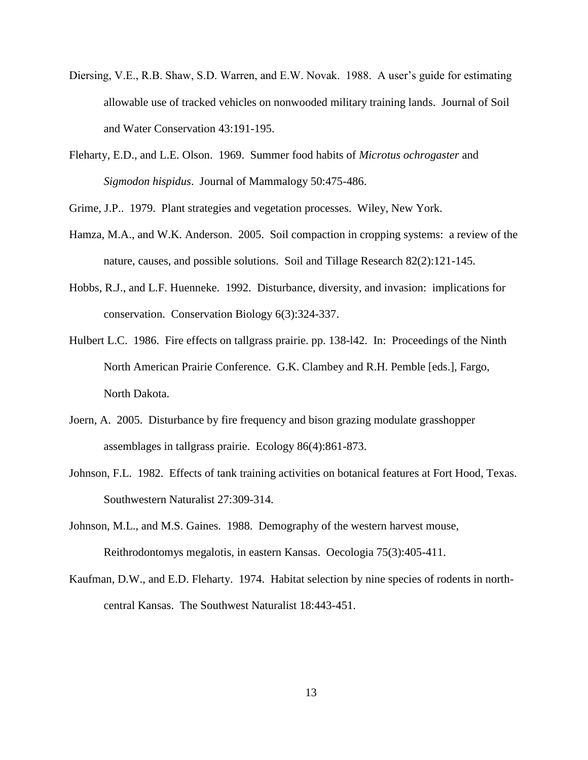- Diersing, V.E., R.B. Shaw, S.D. Warren, and E.W. Novak. 1988. A user's guide for estimating allowable use of tracked vehicles on nonwooded military training lands. Journal of Soil and Water Conservation 43:191-195.
- Fleharty, E.D., and L.E. Olson. 1969. Summer food habits of *Microtus ochrogaster* and *Sigmodon hispidus*. Journal of Mammalogy 50:475-486.

Grime, J.P.. 1979. Plant strategies and vegetation processes. Wiley, New York.

- Hamza, M.A., and W.K. Anderson. 2005. Soil compaction in cropping systems: a review of the nature, causes, and possible solutions. Soil and Tillage Research 82(2):121-145.
- Hobbs, R.J., and L.F. Huenneke. 1992. Disturbance, diversity, and invasion: implications for conservation. Conservation Biology 6(3):324-337.
- Hulbert L.C. 1986. Fire effects on tallgrass prairie. pp. 138-l42. In: Proceedings of the Ninth North American Prairie Conference. G.K. Clambey and R.H. Pemble [eds.], Fargo, North Dakota.
- Joern, A. 2005. Disturbance by fire frequency and bison grazing modulate grasshopper assemblages in tallgrass prairie. Ecology 86(4):861-873.
- Johnson, F.L. 1982. Effects of tank training activities on botanical features at Fort Hood, Texas. Southwestern Naturalist 27:309-314.
- Johnson, M.L., and M.S. Gaines. 1988. Demography of the western harvest mouse, Reithrodontomys megalotis, in eastern Kansas. Oecologia 75(3):405-411.
- Kaufman, D.W., and E.D. Fleharty. 1974. Habitat selection by nine species of rodents in northcentral Kansas. The Southwest Naturalist 18:443-451.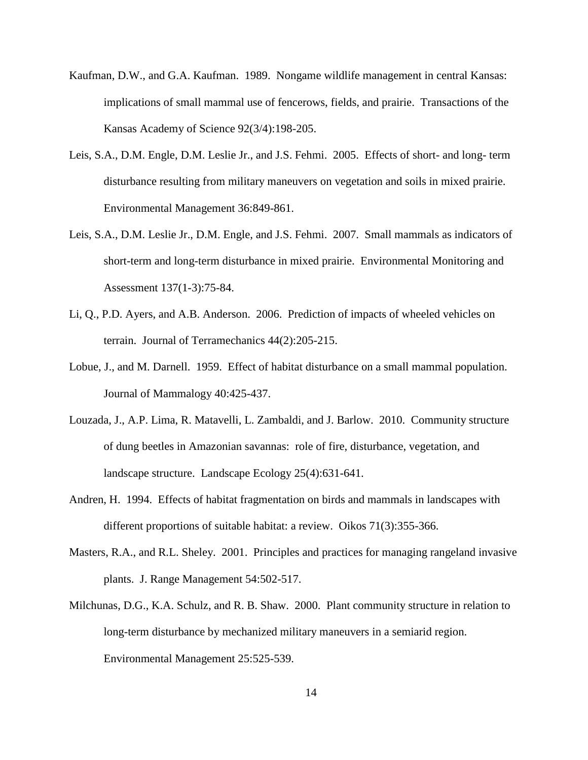- Kaufman, D.W., and G.A. Kaufman. 1989. Nongame wildlife management in central Kansas: implications of small mammal use of fencerows, fields, and prairie. Transactions of the Kansas Academy of Science 92(3/4):198-205.
- Leis, S.A., D.M. Engle, D.M. Leslie Jr., and J.S. Fehmi. 2005. Effects of short- and long- term disturbance resulting from military maneuvers on vegetation and soils in mixed prairie. Environmental Management 36:849-861.
- Leis, S.A., D.M. Leslie Jr., D.M. Engle, and J.S. Fehmi. 2007. Small mammals as indicators of short-term and long-term disturbance in mixed prairie. Environmental Monitoring and Assessment 137(1-3):75-84.
- Li, Q., P.D. Ayers, and A.B. Anderson. 2006. Prediction of impacts of wheeled vehicles on terrain. Journal of Terramechanics 44(2):205-215.
- Lobue, J., and M. Darnell. 1959. Effect of habitat disturbance on a small mammal population. Journal of Mammalogy 40:425-437.
- Louzada, J., A.P. Lima, R. Matavelli, L. Zambaldi, and J. Barlow. 2010. Community structure of dung beetles in Amazonian savannas: role of fire, disturbance, vegetation, and landscape structure. Landscape Ecology 25(4):631-641.
- Andren, H. 1994. Effects of habitat fragmentation on birds and mammals in landscapes with different proportions of suitable habitat: a review. Oikos 71(3):355-366.
- Masters, R.A., and R.L. Sheley. 2001. Principles and practices for managing rangeland invasive plants. J. Range Management 54:502-517.
- Milchunas, D.G., K.A. Schulz, and R. B. Shaw. 2000. Plant community structure in relation to long-term disturbance by mechanized military maneuvers in a semiarid region. Environmental Management 25:525-539.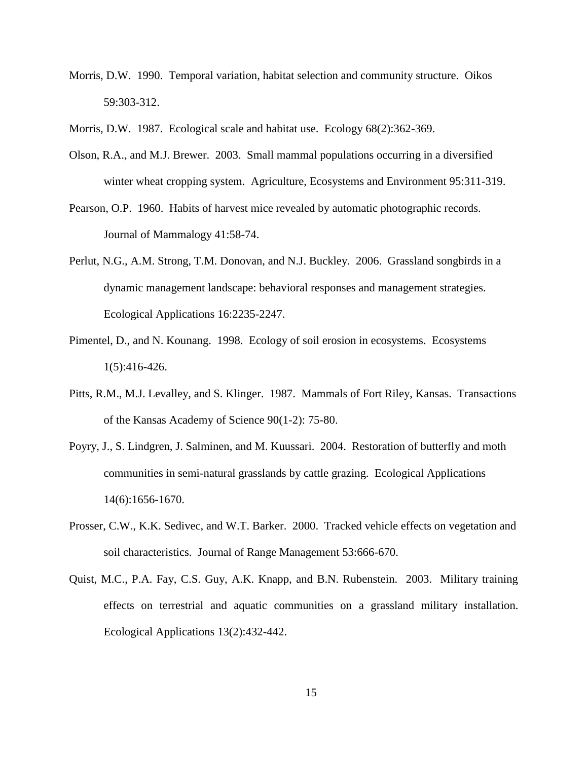- Morris, D.W. 1990. Temporal variation, habitat selection and community structure. Oikos 59:303-312.
- Morris, D.W. 1987. Ecological scale and habitat use. Ecology 68(2):362-369.
- Olson, R.A., and M.J. Brewer. 2003. Small mammal populations occurring in a diversified winter wheat cropping system. Agriculture, Ecosystems and Environment 95:311-319.
- Pearson, O.P. 1960. Habits of harvest mice revealed by automatic photographic records. Journal of Mammalogy 41:58-74.
- Perlut, N.G., A.M. Strong, T.M. Donovan, and N.J. Buckley. 2006. Grassland songbirds in a dynamic management landscape: behavioral responses and management strategies. Ecological Applications 16:2235-2247.
- Pimentel, D., and N. Kounang. 1998. Ecology of soil erosion in ecosystems. Ecosystems 1(5):416-426.
- Pitts, R.M., M.J. Levalley, and S. Klinger. 1987. Mammals of Fort Riley, Kansas. Transactions of the Kansas Academy of Science 90(1-2): 75-80.
- Poyry, J., S. Lindgren, J. Salminen, and M. Kuussari. 2004. Restoration of butterfly and moth communities in semi-natural grasslands by cattle grazing. Ecological Applications 14(6):1656-1670.
- Prosser, C.W., K.K. Sedivec, and W.T. Barker. 2000. Tracked vehicle effects on vegetation and soil characteristics. Journal of Range Management 53:666-670.
- Quist, M.C., P.A. Fay, C.S. Guy, A.K. Knapp, and B.N. Rubenstein. 2003. Military training effects on terrestrial and aquatic communities on a grassland military installation. Ecological Applications 13(2):432-442.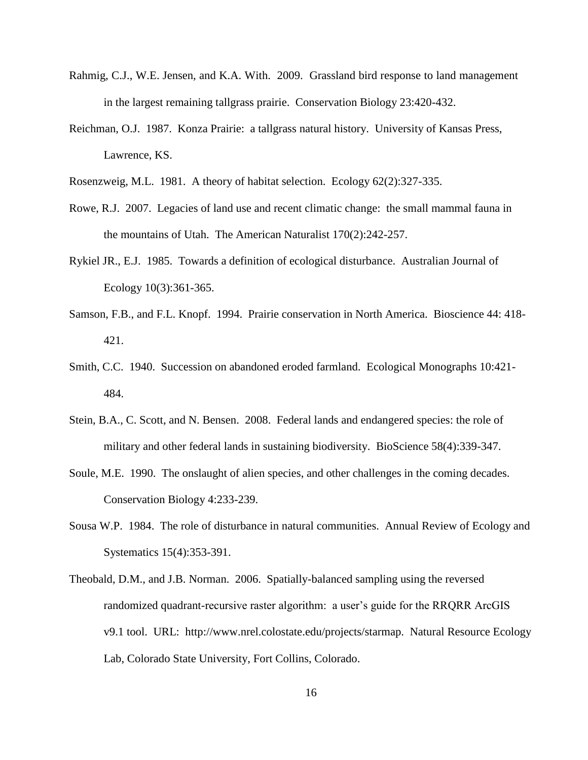- Rahmig, C.J., W.E. Jensen, and K.A. With. 2009. Grassland bird response to land management in the largest remaining tallgrass prairie. Conservation Biology 23:420-432.
- Reichman, O.J. 1987. Konza Prairie: a tallgrass natural history. University of Kansas Press, Lawrence, KS.
- Rosenzweig, M.L. 1981. A theory of habitat selection. Ecology 62(2):327-335.
- Rowe, R.J. 2007. Legacies of land use and recent climatic change: the small mammal fauna in the mountains of Utah. The American Naturalist 170(2):242-257.
- Rykiel JR., E.J. 1985. Towards a definition of ecological disturbance. Australian Journal of Ecology 10(3):361-365.
- Samson, F.B., and F.L. Knopf. 1994. Prairie conservation in North America. Bioscience 44: 418- 421.
- Smith, C.C. 1940. Succession on abandoned eroded farmland. Ecological Monographs 10:421- 484.
- Stein, B.A., C. Scott, and N. Bensen. 2008. Federal lands and endangered species: the role of military and other federal lands in sustaining biodiversity. BioScience 58(4):339-347.
- Soule, M.E. 1990. The onslaught of alien species, and other challenges in the coming decades. Conservation Biology 4:233-239.
- Sousa W.P. 1984. The role of disturbance in natural communities. Annual Review of Ecology and Systematics 15(4):353-391.
- Theobald, D.M., and J.B. Norman. 2006. Spatially-balanced sampling using the reversed randomized quadrant-recursive raster algorithm: a user's guide for the RRQRR ArcGIS v9.1 tool. URL: http://www.nrel.colostate.edu/projects/starmap. Natural Resource Ecology Lab, Colorado State University, Fort Collins, Colorado.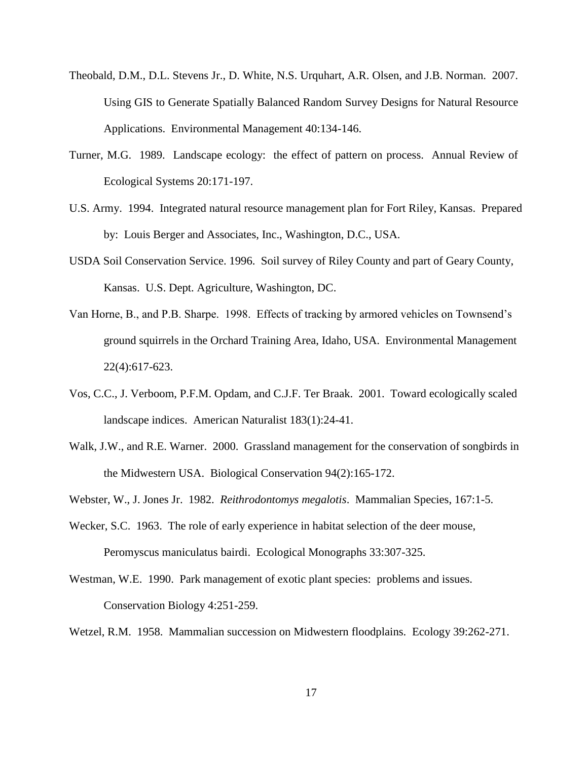- Theobald, D.M., D.L. Stevens Jr., D. White, N.S. Urquhart, A.R. Olsen, and J.B. Norman. 2007. Using GIS to Generate Spatially Balanced Random Survey Designs for Natural Resource Applications. Environmental Management 40:134-146.
- Turner, M.G. 1989. Landscape ecology: the effect of pattern on process. Annual Review of Ecological Systems 20:171-197.
- U.S. Army. 1994. Integrated natural resource management plan for Fort Riley, Kansas. Prepared by: Louis Berger and Associates, Inc., Washington, D.C., USA.
- USDA Soil Conservation Service. 1996. Soil survey of Riley County and part of Geary County, Kansas. U.S. Dept. Agriculture, Washington, DC.
- Van Horne, B., and P.B. Sharpe. 1998. Effects of tracking by armored vehicles on Townsend's ground squirrels in the Orchard Training Area, Idaho, USA. Environmental Management 22(4):617-623.
- Vos, C.C., J. Verboom, P.F.M. Opdam, and C.J.F. Ter Braak. 2001. Toward ecologically scaled landscape indices. American Naturalist 183(1):24-41.
- Walk, J.W., and R.E. Warner. 2000. Grassland management for the conservation of songbirds in the Midwestern USA. Biological Conservation 94(2):165-172.
- Webster, W., J. Jones Jr. 1982. *Reithrodontomys megalotis*. Mammalian Species, 167:1-5.
- Wecker, S.C. 1963. The role of early experience in habitat selection of the deer mouse, Peromyscus maniculatus bairdi. Ecological Monographs 33:307-325.
- Westman, W.E. 1990. Park management of exotic plant species: problems and issues. Conservation Biology 4:251-259.
- Wetzel, R.M. 1958. Mammalian succession on Midwestern floodplains. Ecology 39:262-271.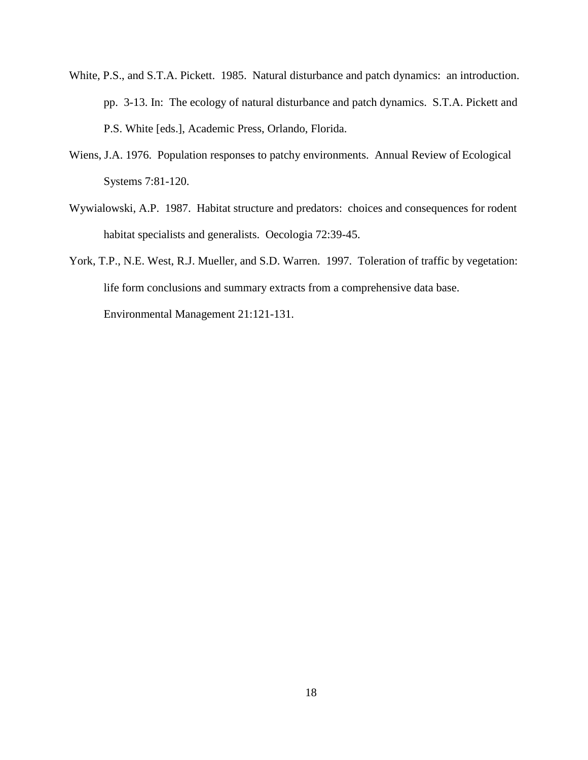- White, P.S., and S.T.A. Pickett. 1985. Natural disturbance and patch dynamics: an introduction. pp. 3-13. In: The ecology of natural disturbance and patch dynamics. S.T.A. Pickett and P.S. White [eds.], Academic Press, Orlando, Florida.
- Wiens, J.A. 1976. Population responses to patchy environments. Annual Review of Ecological Systems 7:81-120.
- Wywialowski, A.P. 1987. Habitat structure and predators: choices and consequences for rodent habitat specialists and generalists. Oecologia 72:39-45.
- York, T.P., N.E. West, R.J. Mueller, and S.D. Warren. 1997. Toleration of traffic by vegetation: life form conclusions and summary extracts from a comprehensive data base. Environmental Management 21:121-131.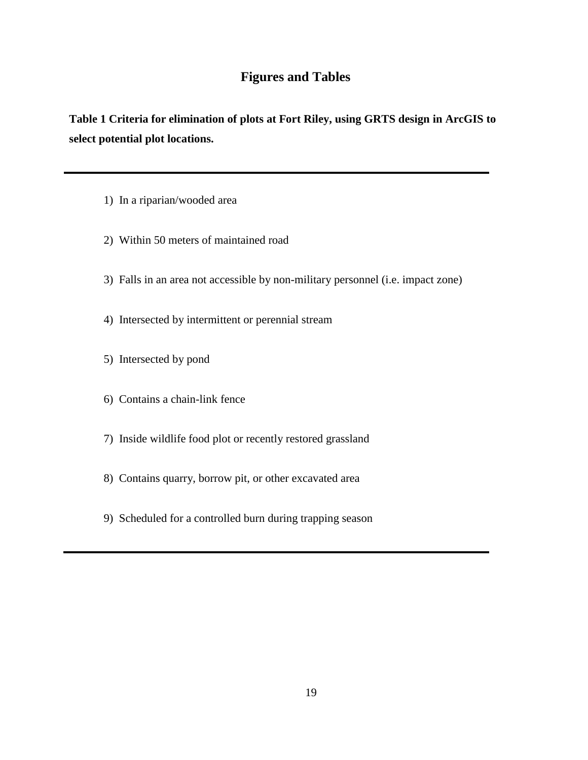## **Figures and Tables**

<span id="page-24-1"></span><span id="page-24-0"></span>**Table 1 Criteria for elimination of plots at Fort Riley, using GRTS design in ArcGIS to select potential plot locations.**

- 1) In a riparian/wooded area
- 2) Within 50 meters of maintained road
- 3) Falls in an area not accessible by non-military personnel (i.e. impact zone)
- 4) Intersected by intermittent or perennial stream
- 5) Intersected by pond
- 6) Contains a chain-link fence
- 7) Inside wildlife food plot or recently restored grassland
- 8) Contains quarry, borrow pit, or other excavated area
- 9) Scheduled for a controlled burn during trapping season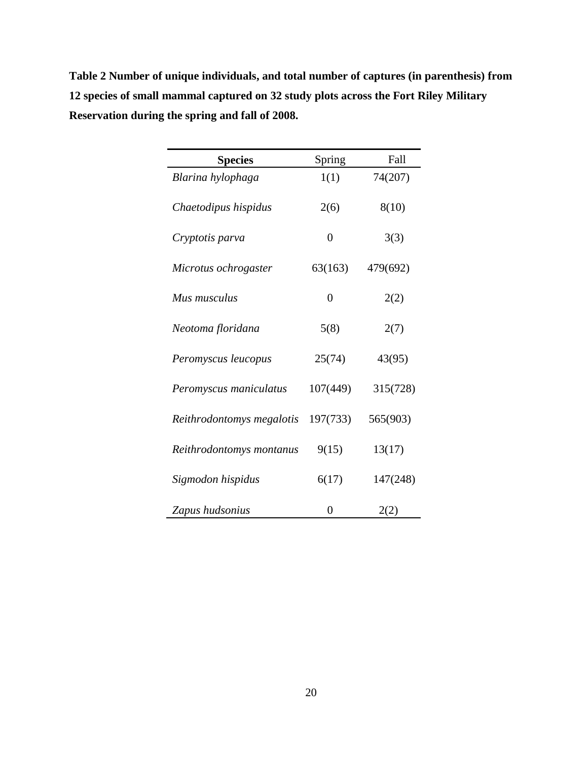<span id="page-25-0"></span>**Table 2 Number of unique individuals, and total number of captures (in parenthesis) from 12 species of small mammal captured on 32 study plots across the Fort Riley Military Reservation during the spring and fall of 2008.** 

| <b>Species</b>            | Spring         | Fall     |  |
|---------------------------|----------------|----------|--|
| Blarina hylophaga         | 1(1)           | 74(207)  |  |
| Chaetodipus hispidus      | 2(6)           | 8(10)    |  |
| Cryptotis parva           | $\overline{0}$ | 3(3)     |  |
| Microtus ochrogaster      | 63(163)        | 479(692) |  |
| Mus musculus              | $\theta$       | 2(2)     |  |
| Neotoma floridana         | 5(8)           | 2(7)     |  |
| Peromyscus leucopus       | 25(74)         | 43(95)   |  |
| Peromyscus maniculatus    | 107(449)       | 315(728) |  |
| Reithrodontomys megalotis | 197(733)       | 565(903) |  |
| Reithrodontomys montanus  | 9(15)          | 13(17)   |  |
| Sigmodon hispidus         | 6(17)          | 147(248) |  |
| Zapus hudsonius           | 0              | 2(2)     |  |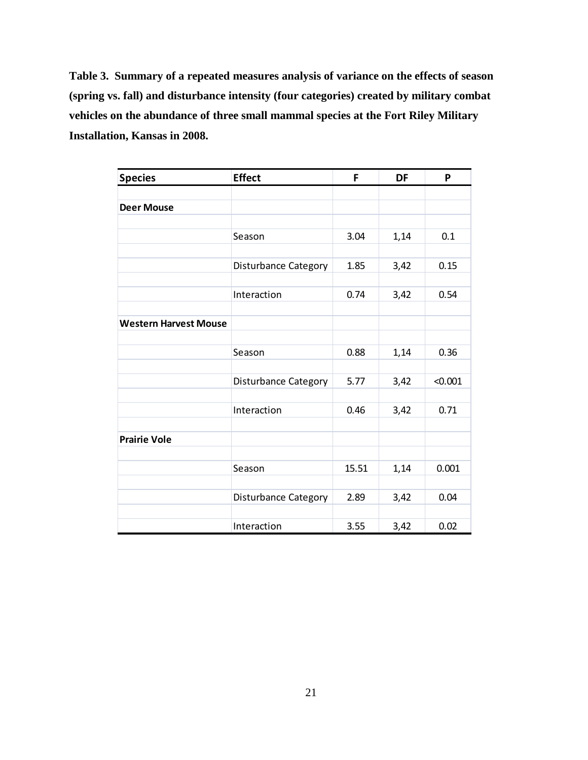<span id="page-26-0"></span>**Table 3. Summary of a repeated measures analysis of variance on the effects of season (spring vs. fall) and disturbance intensity (four categories) created by military combat vehicles on the abundance of three small mammal species at the Fort Riley Military Installation, Kansas in 2008.**

| <b>Species</b>               | <b>Effect</b>               | F     | DF   | P       |
|------------------------------|-----------------------------|-------|------|---------|
|                              |                             |       |      |         |
| <b>Deer Mouse</b>            |                             |       |      |         |
|                              |                             |       |      |         |
|                              | Season                      | 3.04  | 1,14 | 0.1     |
|                              |                             |       |      |         |
|                              | <b>Disturbance Category</b> | 1.85  | 3,42 | 0.15    |
|                              |                             |       |      |         |
|                              | Interaction                 | 0.74  | 3,42 | 0.54    |
|                              |                             |       |      |         |
| <b>Western Harvest Mouse</b> |                             |       |      |         |
|                              |                             |       |      |         |
|                              | Season                      | 0.88  | 1,14 | 0.36    |
|                              |                             |       |      |         |
|                              | Disturbance Category        | 5.77  | 3,42 | < 0.001 |
|                              |                             |       |      |         |
|                              | Interaction                 | 0.46  | 3,42 | 0.71    |
|                              |                             |       |      |         |
| <b>Prairie Vole</b>          |                             |       |      |         |
|                              |                             |       |      |         |
|                              | Season                      | 15.51 | 1,14 | 0.001   |
|                              |                             |       |      |         |
|                              | Disturbance Category        | 2.89  | 3,42 | 0.04    |
|                              |                             |       |      |         |
|                              | Interaction                 | 3.55  | 3,42 | 0.02    |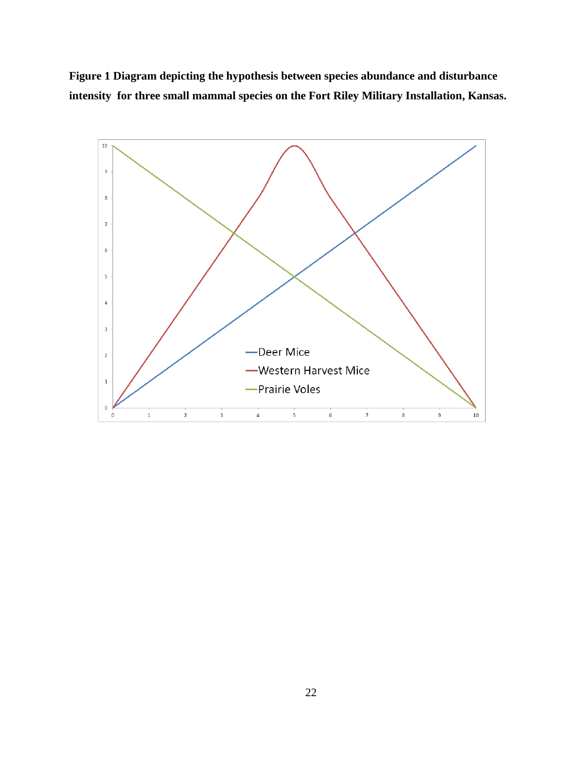<span id="page-27-0"></span>**Figure 1 Diagram depicting the hypothesis between species abundance and disturbance intensity for three small mammal species on the Fort Riley Military Installation, Kansas.**

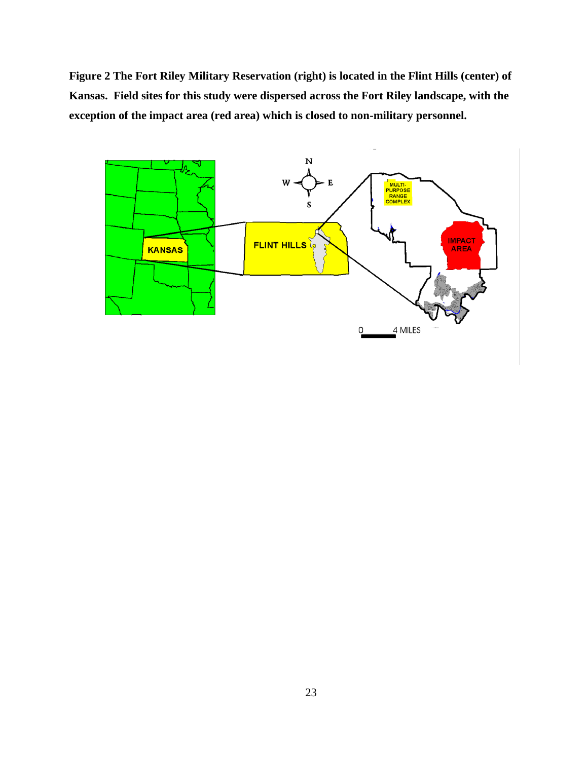<span id="page-28-0"></span>**Figure 2 The Fort Riley Military Reservation (right) is located in the Flint Hills (center) of Kansas. Field sites for this study were dispersed across the Fort Riley landscape, with the exception of the impact area (red area) which is closed to non-military personnel.** 

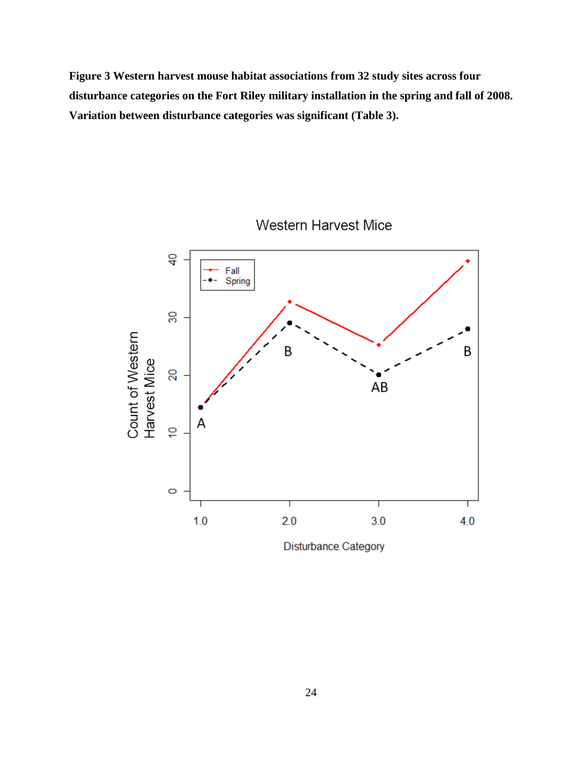<span id="page-29-0"></span>**Figure 3 Western harvest mouse habitat associations from 32 study sites across four disturbance categories on the Fort Riley military installation in the spring and fall of 2008. Variation between disturbance categories was significant (Table 3).** 



Western Harvest Mice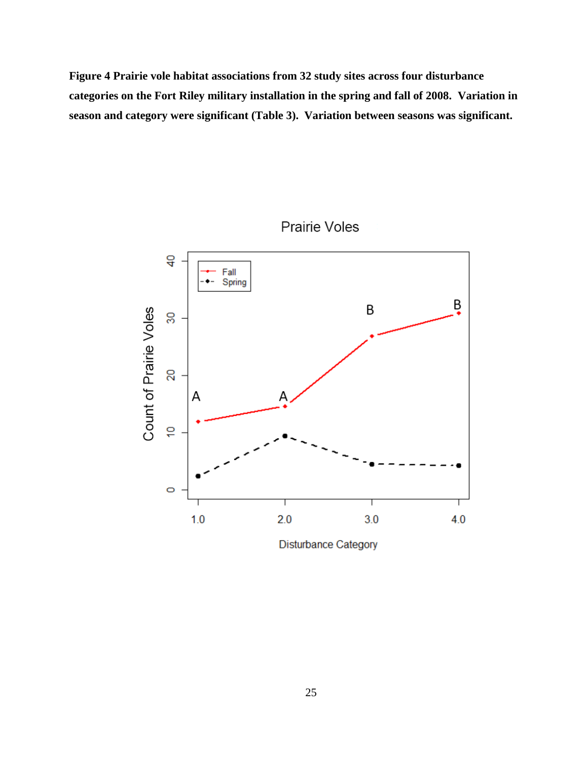<span id="page-30-0"></span>**Figure 4 Prairie vole habitat associations from 32 study sites across four disturbance categories on the Fort Riley military installation in the spring and fall of 2008. Variation in season and category were significant (Table 3). Variation between seasons was significant.**



Prairie Voles